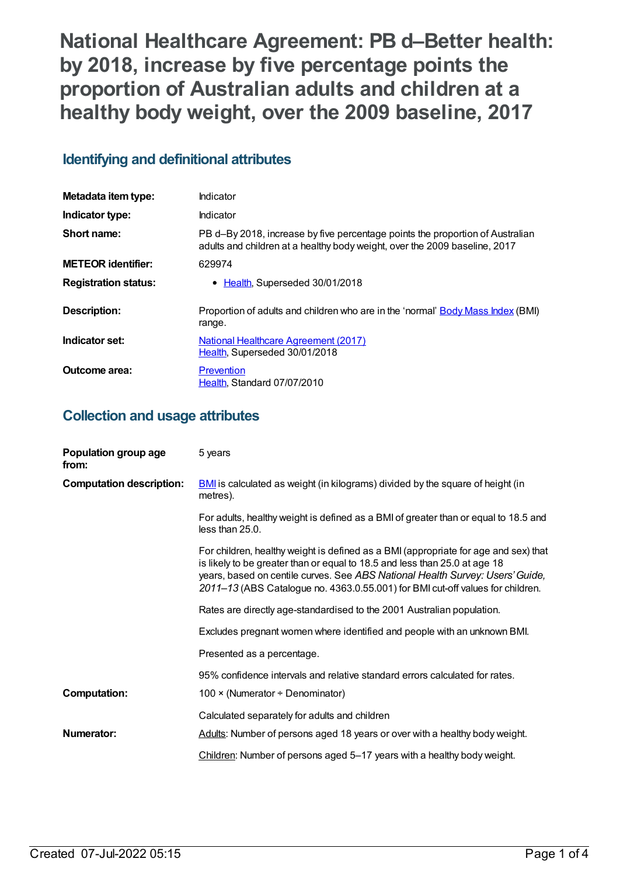**National Healthcare Agreement: PB d–Better health: by 2018, increase by five percentage points the proportion of Australian adults and children at a healthy body weight, over the 2009 baseline, 2017**

# **Identifying and definitional attributes**

| Metadata item type:         | Indicator                                                                                                                                                   |
|-----------------------------|-------------------------------------------------------------------------------------------------------------------------------------------------------------|
| Indicator type:             | Indicator                                                                                                                                                   |
| Short name:                 | PB d-By 2018, increase by five percentage points the proportion of Australian<br>adults and children at a healthy body weight, over the 2009 baseline, 2017 |
| <b>METEOR identifier:</b>   | 629974                                                                                                                                                      |
| <b>Registration status:</b> | • Health, Superseded 30/01/2018                                                                                                                             |
| <b>Description:</b>         | Proportion of adults and children who are in the 'normal' Body Mass Index (BMI)<br>range.                                                                   |
| Indicator set:              | <b>National Healthcare Agreement (2017)</b><br>Health, Superseded 30/01/2018                                                                                |
| Outcome area:               | Prevention<br>Health, Standard 07/07/2010                                                                                                                   |

## **Collection and usage attributes**

| Population group age<br>from:   | 5 years                                                                                                                                                                                                                                                                                                                              |
|---------------------------------|--------------------------------------------------------------------------------------------------------------------------------------------------------------------------------------------------------------------------------------------------------------------------------------------------------------------------------------|
| <b>Computation description:</b> | <b>BMI</b> is calculated as weight (in kilograms) divided by the square of height (in<br>metres).                                                                                                                                                                                                                                    |
|                                 | For adults, healthy weight is defined as a BMI of greater than or equal to 18.5 and<br>less than 25.0.                                                                                                                                                                                                                               |
|                                 | For children, healthy weight is defined as a BMI (appropriate for age and sex) that<br>is likely to be greater than or equal to 18.5 and less than 25.0 at age 18<br>years, based on centile curves. See ABS National Health Survey: Users' Guide,<br>2011-13 (ABS Catalogue no. 4363.0.55.001) for BMI cut-off values for children. |
|                                 | Rates are directly age-standardised to the 2001 Australian population.                                                                                                                                                                                                                                                               |
|                                 | Excludes pregnant women where identified and people with an unknown BMI.                                                                                                                                                                                                                                                             |
|                                 | Presented as a percentage.                                                                                                                                                                                                                                                                                                           |
|                                 | 95% confidence intervals and relative standard errors calculated for rates.                                                                                                                                                                                                                                                          |
| <b>Computation:</b>             | 100 $\times$ (Numerator ÷ Denominator)                                                                                                                                                                                                                                                                                               |
|                                 | Calculated separately for adults and children                                                                                                                                                                                                                                                                                        |
| <b>Numerator:</b>               | Adults: Number of persons aged 18 years or over with a healthy body weight.                                                                                                                                                                                                                                                          |
|                                 | Children: Number of persons aged 5-17 years with a healthy body weight.                                                                                                                                                                                                                                                              |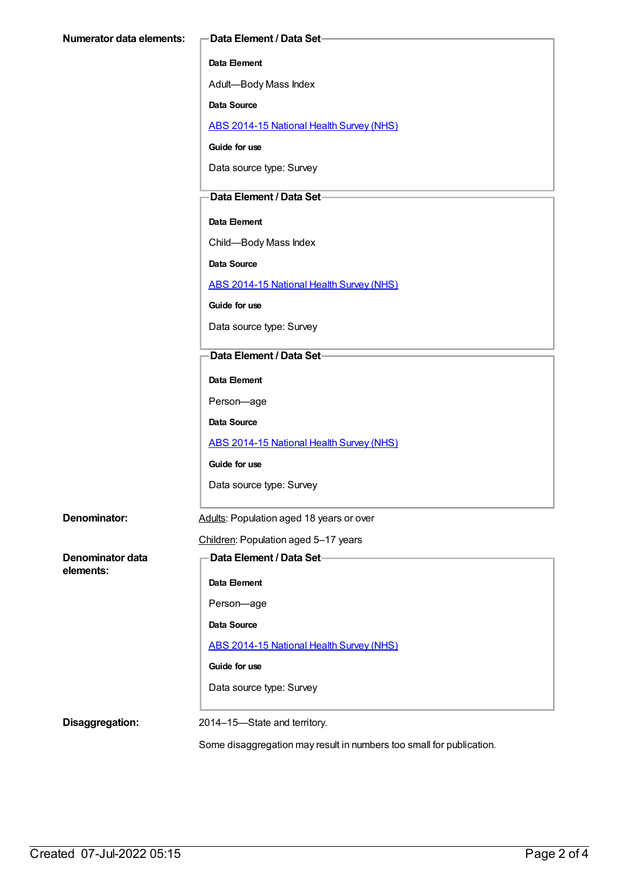Adult—Body Mass Index

**Data Source**

ABS [2014-15](https://meteor.aihw.gov.au/content/644695) National Health Survey (NHS)

**Guide for use**

Data source type: Survey

#### **Data Element / Data Set**

**Data Element**

Child—Body Mass Index

**Data Source**

ABS [2014-15](https://meteor.aihw.gov.au/content/644695) National Health Survey (NHS)

**Guide for use**

Data source type: Survey

#### **Data Element / Data Set**

**Data Element**

Person—age

**Data Source**

ABS [2014-15](https://meteor.aihw.gov.au/content/644695) National Health Survey (NHS)

**Guide for use**

Data source type: Survey

| Denominator: | Adults: Population aged 18 years or over |
|--------------|------------------------------------------|
|--------------|------------------------------------------|

#### Children: Population aged 5–17 years

**Data Element / Data Set**

**Data Element**

Person—age

**Data Source**

ABS [2014-15](https://meteor.aihw.gov.au/content/644695) National Health Survey (NHS)

**Guide for use**

Data source type: Survey

**Denominator data**

**elements:**

**Disaggregation:** 2014–15—State and territory.

Some disaggregation may result in numbers too small for publication.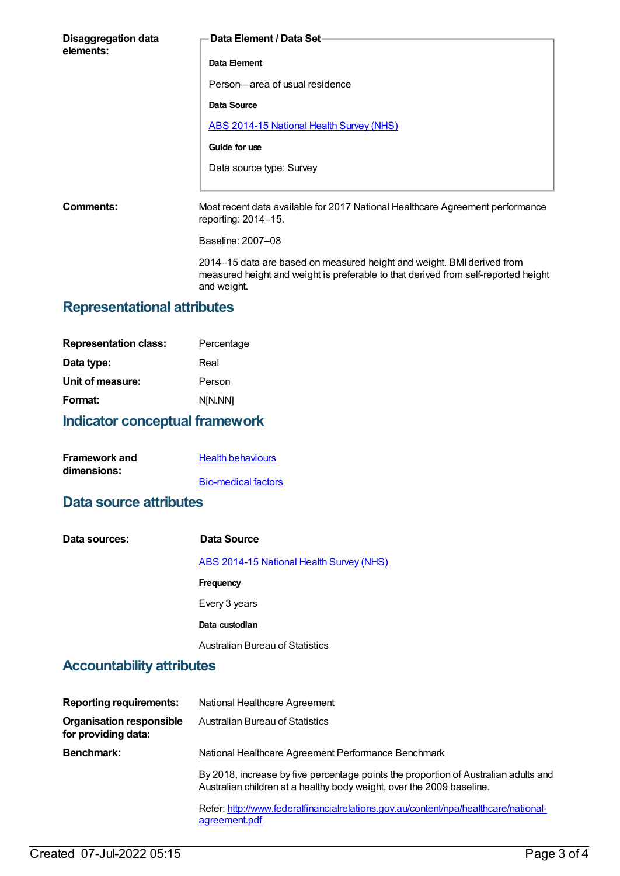| <b>Disaggregation data</b><br>elements: | <b>Data Element / Data Set-</b>                                                                           |
|-----------------------------------------|-----------------------------------------------------------------------------------------------------------|
|                                         | Data Element                                                                                              |
|                                         | Person-area of usual residence                                                                            |
|                                         | Data Source                                                                                               |
|                                         | <b>ABS 2014-15 National Health Survey (NHS)</b>                                                           |
|                                         | Guide for use                                                                                             |
|                                         | Data source type: Survey                                                                                  |
|                                         |                                                                                                           |
| Comments:                               | Most recent data available for 2017 National Healthcare Agreement performance<br>reporting: $2014 - 15$ . |
|                                         | Baseline: 2007-08                                                                                         |
|                                         | 2014–15 data are based on measured height and weight. BMI derived from                                    |

measured height and weight is preferable to that derived from self-reported height

# **Representational attributes**

| <b>Representation class:</b> | Percentage |
|------------------------------|------------|
| Data type:                   | Real       |
| Unit of measure:             | Person     |
| Format:                      | N[N.NN]    |
|                              |            |

# **Indicator conceptual framework**

| <b>Framework and</b> | <b>Health behaviours</b>   |
|----------------------|----------------------------|
| dimensions:          |                            |
|                      | <b>Bio-medical factors</b> |

#### **Data source attributes**

| Data sources: | Data Source                                     |
|---------------|-------------------------------------------------|
|               | <b>ABS 2014-15 National Health Survey (NHS)</b> |
|               | <b>Frequency</b>                                |
|               | Every 3 years                                   |
|               | Data custodian                                  |
|               | <b>Australian Bureau of Statistics</b>          |

and weight.

## **Accountability attributes**

| <b>Reporting requirements:</b>                         | National Healthcare Agreement                                                                                                                                |
|--------------------------------------------------------|--------------------------------------------------------------------------------------------------------------------------------------------------------------|
| <b>Organisation responsible</b><br>for providing data: | Australian Bureau of Statistics                                                                                                                              |
| <b>Benchmark:</b>                                      | National Healthcare Agreement Performance Benchmark                                                                                                          |
|                                                        | By 2018, increase by five percentage points the proportion of Australian adults and<br>Australian children at a healthy body weight, over the 2009 baseline. |
|                                                        | Refer: http://www.federalfinancialrelations.gov.au/content/npa/healthcare/national-<br>agreement.pdf                                                         |